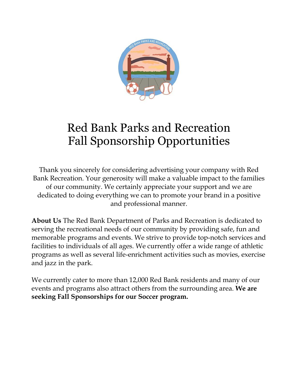

#### Red Bank Parks and Recreation Fall Sponsorship Opportunities

Thank you sincerely for considering advertising your company with Red Bank Recreation. Your generosity will make a valuable impact to the families of our community. We certainly appreciate your support and we are dedicated to doing everything we can to promote your brand in a positive and professional manner.

**About Us** The Red Bank Department of Parks and Recreation is dedicated to serving the recreational needs of our community by providing safe, fun and memorable programs and events. We strive to provide top-notch services and facilities to individuals of all ages. We currently offer a wide range of athletic programs as well as several life-enrichment activities such as movies, exercise and jazz in the park.

We currently cater to more than 12,000 Red Bank residents and many of our events and programs also attract others from the surrounding area. **We are seeking Fall Sponsorships for our Soccer program.**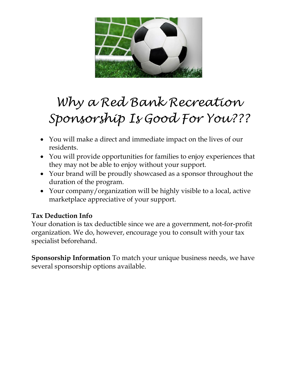

# *Why a Red Bank Recreation Sponsorship Is Good For You???*

- You will make a direct and immediate impact on the lives of our residents.
- You will provide opportunities for families to enjoy experiences that they may not be able to enjoy without your support.
- Your brand will be proudly showcased as a sponsor throughout the duration of the program.
- Your company/organization will be highly visible to a local, active marketplace appreciative of your support.

#### **Tax Deduction Info**

Your donation is tax deductible since we are a government, not-for-profit organization. We do, however, encourage you to consult with your tax specialist beforehand.

**Sponsorship Information** To match your unique business needs, we have several sponsorship options available.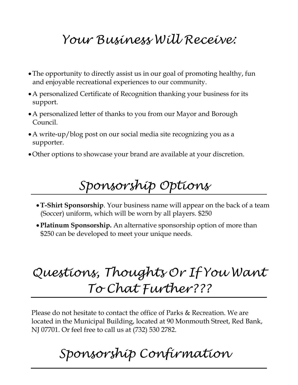### *Your Business Will Receive:*

- The opportunity to directly assist us in our goal of promoting healthy, fun and enjoyable recreational experiences to our community.
- A personalized Certificate of Recognition thanking your business for its support.
- A personalized letter of thanks to you from our Mayor and Borough Council.
- A write-up/blog post on our social media site recognizing you as a supporter.
- Other options to showcase your brand are available at your discretion.

## *Sponsorship Options*

- **T-Shirt Sponsorship**. Your business name will appear on the back of a team (Soccer) uniform, which will be worn by all players. \$250
- **Platinum Sponsorship.** An alternative sponsorship option of more than \$250 can be developed to meet your unique needs.

## *Questions, Thoughts Or If You Want*   *To Chat Further???*

Please do not hesitate to contact the office of Parks & Recreation. We are located in the Municipal Building, located at 90 Monmouth Street, Red Bank, NJ 07701. Or feel free to call us at (732) 530 2782.

## *Sponsorship Confirmation*